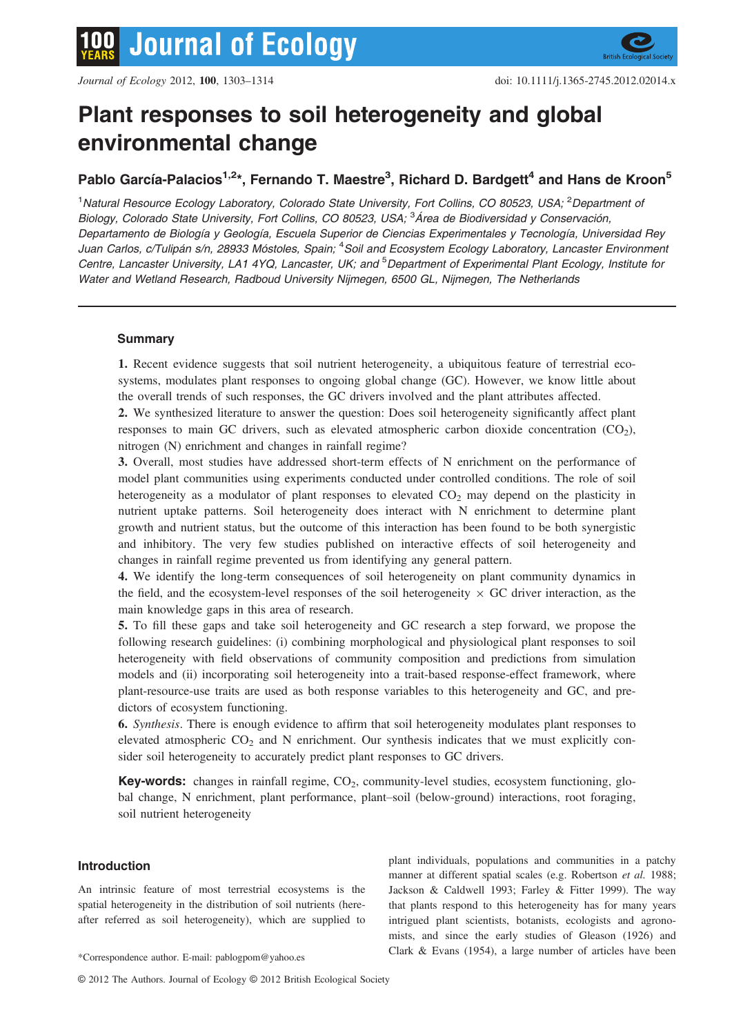# Plant responses to soil heterogeneity and global environmental change

# Pablo García-Palacios<sup>1,2</sup>\*, Fernando T. Maestre<sup>3</sup>, Richard D. Bardgett<sup>4</sup> and Hans de Kroon<sup>5</sup>

<sup>1</sup>Natural Resource Ecology Laboratory, Colorado State University, Fort Collins, CO 80523, USA; <sup>2</sup>Department oi Biology, Colorado State University, Fort Collins, CO 80523, USA; <sup>3</sup>Área de Biodiversidad y Conservación, Departamento de Biología y Geología, Escuela Superior de Ciencias Experimentales y Tecnología, Universidad Rey Juan Carlos, c/Tulipán s/n, 28933 Móstoles, Spain; <sup>4</sup>Soil and Ecosystem Ecology Laboratory, Lancaster Environment Centre, Lancaster University, LA1 4YQ, Lancaster, UK; and <sup>5</sup>Department of Experimental Plant Ecology, Institute for Water and Wetland Research, Radboud University Nijmegen, 6500 GL, Nijmegen, The Netherlands

### **Summary**

1. Recent evidence suggests that soil nutrient heterogeneity, a ubiquitous feature of terrestrial ecosystems, modulates plant responses to ongoing global change (GC). However, we know little about the overall trends of such responses, the GC drivers involved and the plant attributes affected.

2. We synthesized literature to answer the question: Does soil heterogeneity significantly affect plant responses to main GC drivers, such as elevated atmospheric carbon dioxide concentration  $(CO<sub>2</sub>)$ , nitrogen (N) enrichment and changes in rainfall regime?

3. Overall, most studies have addressed short-term effects of N enrichment on the performance of model plant communities using experiments conducted under controlled conditions. The role of soil heterogeneity as a modulator of plant responses to elevated  $CO<sub>2</sub>$  may depend on the plasticity in nutrient uptake patterns. Soil heterogeneity does interact with N enrichment to determine plant growth and nutrient status, but the outcome of this interaction has been found to be both synergistic and inhibitory. The very few studies published on interactive effects of soil heterogeneity and changes in rainfall regime prevented us from identifying any general pattern.

4. We identify the long-term consequences of soil heterogeneity on plant community dynamics in the field, and the ecosystem-level responses of the soil heterogeneity  $\times$  GC driver interaction, as the main knowledge gaps in this area of research.

5. To fill these gaps and take soil heterogeneity and GC research a step forward, we propose the following research guidelines: (i) combining morphological and physiological plant responses to soil heterogeneity with field observations of community composition and predictions from simulation models and (ii) incorporating soil heterogeneity into a trait-based response-effect framework, where plant-resource-use traits are used as both response variables to this heterogeneity and GC, and predictors of ecosystem functioning.

6. Synthesis. There is enough evidence to affirm that soil heterogeneity modulates plant responses to elevated atmospheric  $CO<sub>2</sub>$  and N enrichment. Our synthesis indicates that we must explicitly consider soil heterogeneity to accurately predict plant responses to GC drivers.

**Key-words:** changes in rainfall regime,  $CO<sub>2</sub>$ , community-level studies, ecosystem functioning, global change, N enrichment, plant performance, plant–soil (below-ground) interactions, root foraging, soil nutrient heterogeneity

#### Introduction

An intrinsic feature of most terrestrial ecosystems is the spatial heterogeneity in the distribution of soil nutrients (hereafter referred as soil heterogeneity), which are supplied to

plant individuals, populations and communities in a patchy manner at different spatial scales (e.g. Robertson et al. 1988; Jackson & Caldwell 1993; Farley & Fitter 1999). The way that plants respond to this heterogeneity has for many years intrigued plant scientists, botanists, ecologists and agronomists, and since the early studies of Gleason (1926) and Clark & Evans (1954), a large number of articles have been \*Correspondence author. E-mail: pablogpom@yahoo.es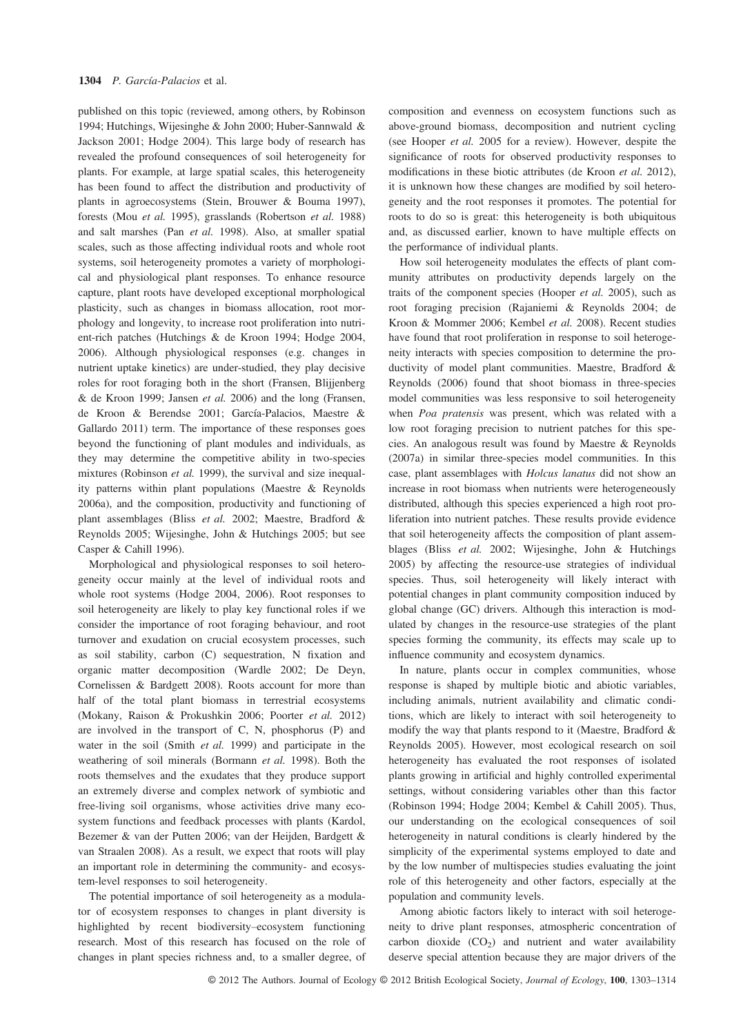published on this topic (reviewed, among others, by Robinson 1994; Hutchings, Wijesinghe & John 2000; Huber-Sannwald & Jackson 2001; Hodge 2004). This large body of research has revealed the profound consequences of soil heterogeneity for plants. For example, at large spatial scales, this heterogeneity has been found to affect the distribution and productivity of plants in agroecosystems (Stein, Brouwer & Bouma 1997), forests (Mou et al. 1995), grasslands (Robertson et al. 1988) and salt marshes (Pan et al. 1998). Also, at smaller spatial scales, such as those affecting individual roots and whole root systems, soil heterogeneity promotes a variety of morphological and physiological plant responses. To enhance resource capture, plant roots have developed exceptional morphological plasticity, such as changes in biomass allocation, root morphology and longevity, to increase root proliferation into nutrient-rich patches (Hutchings & de Kroon 1994; Hodge 2004, 2006). Although physiological responses (e.g. changes in nutrient uptake kinetics) are under-studied, they play decisive roles for root foraging both in the short (Fransen, Blijjenberg & de Kroon 1999; Jansen et al. 2006) and the long (Fransen, de Kroon & Berendse 2001; García-Palacios, Maestre & Gallardo 2011) term. The importance of these responses goes beyond the functioning of plant modules and individuals, as they may determine the competitive ability in two-species mixtures (Robinson et al. 1999), the survival and size inequality patterns within plant populations (Maestre & Reynolds 2006a), and the composition, productivity and functioning of plant assemblages (Bliss et al. 2002; Maestre, Bradford & Reynolds 2005; Wijesinghe, John & Hutchings 2005; but see Casper & Cahill 1996).

Morphological and physiological responses to soil heterogeneity occur mainly at the level of individual roots and whole root systems (Hodge 2004, 2006). Root responses to soil heterogeneity are likely to play key functional roles if we consider the importance of root foraging behaviour, and root turnover and exudation on crucial ecosystem processes, such as soil stability, carbon (C) sequestration, N fixation and organic matter decomposition (Wardle 2002; De Deyn, Cornelissen & Bardgett 2008). Roots account for more than half of the total plant biomass in terrestrial ecosystems (Mokany, Raison & Prokushkin 2006; Poorter et al. 2012) are involved in the transport of C, N, phosphorus (P) and water in the soil (Smith et al. 1999) and participate in the weathering of soil minerals (Bormann et al. 1998). Both the roots themselves and the exudates that they produce support an extremely diverse and complex network of symbiotic and free-living soil organisms, whose activities drive many ecosystem functions and feedback processes with plants (Kardol, Bezemer & van der Putten 2006; van der Heijden, Bardgett & van Straalen 2008). As a result, we expect that roots will play an important role in determining the community- and ecosystem-level responses to soil heterogeneity.

The potential importance of soil heterogeneity as a modulator of ecosystem responses to changes in plant diversity is highlighted by recent biodiversity–ecosystem functioning research. Most of this research has focused on the role of changes in plant species richness and, to a smaller degree, of

composition and evenness on ecosystem functions such as above-ground biomass, decomposition and nutrient cycling (see Hooper et al. 2005 for a review). However, despite the significance of roots for observed productivity responses to modifications in these biotic attributes (de Kroon et al. 2012), it is unknown how these changes are modified by soil heterogeneity and the root responses it promotes. The potential for roots to do so is great: this heterogeneity is both ubiquitous and, as discussed earlier, known to have multiple effects on the performance of individual plants.

How soil heterogeneity modulates the effects of plant community attributes on productivity depends largely on the traits of the component species (Hooper et al. 2005), such as root foraging precision (Rajaniemi & Reynolds 2004; de Kroon & Mommer 2006; Kembel et al. 2008). Recent studies have found that root proliferation in response to soil heterogeneity interacts with species composition to determine the productivity of model plant communities. Maestre, Bradford & Reynolds (2006) found that shoot biomass in three-species model communities was less responsive to soil heterogeneity when Poa pratensis was present, which was related with a low root foraging precision to nutrient patches for this species. An analogous result was found by Maestre & Reynolds (2007a) in similar three-species model communities. In this case, plant assemblages with Holcus lanatus did not show an increase in root biomass when nutrients were heterogeneously distributed, although this species experienced a high root proliferation into nutrient patches. These results provide evidence that soil heterogeneity affects the composition of plant assemblages (Bliss et al. 2002; Wijesinghe, John & Hutchings 2005) by affecting the resource-use strategies of individual species. Thus, soil heterogeneity will likely interact with potential changes in plant community composition induced by global change (GC) drivers. Although this interaction is modulated by changes in the resource-use strategies of the plant species forming the community, its effects may scale up to influence community and ecosystem dynamics.

In nature, plants occur in complex communities, whose response is shaped by multiple biotic and abiotic variables, including animals, nutrient availability and climatic conditions, which are likely to interact with soil heterogeneity to modify the way that plants respond to it (Maestre, Bradford & Reynolds 2005). However, most ecological research on soil heterogeneity has evaluated the root responses of isolated plants growing in artificial and highly controlled experimental settings, without considering variables other than this factor (Robinson 1994; Hodge 2004; Kembel & Cahill 2005). Thus, our understanding on the ecological consequences of soil heterogeneity in natural conditions is clearly hindered by the simplicity of the experimental systems employed to date and by the low number of multispecies studies evaluating the joint role of this heterogeneity and other factors, especially at the population and community levels.

Among abiotic factors likely to interact with soil heterogeneity to drive plant responses, atmospheric concentration of carbon dioxide  $(CO_2)$  and nutrient and water availability deserve special attention because they are major drivers of the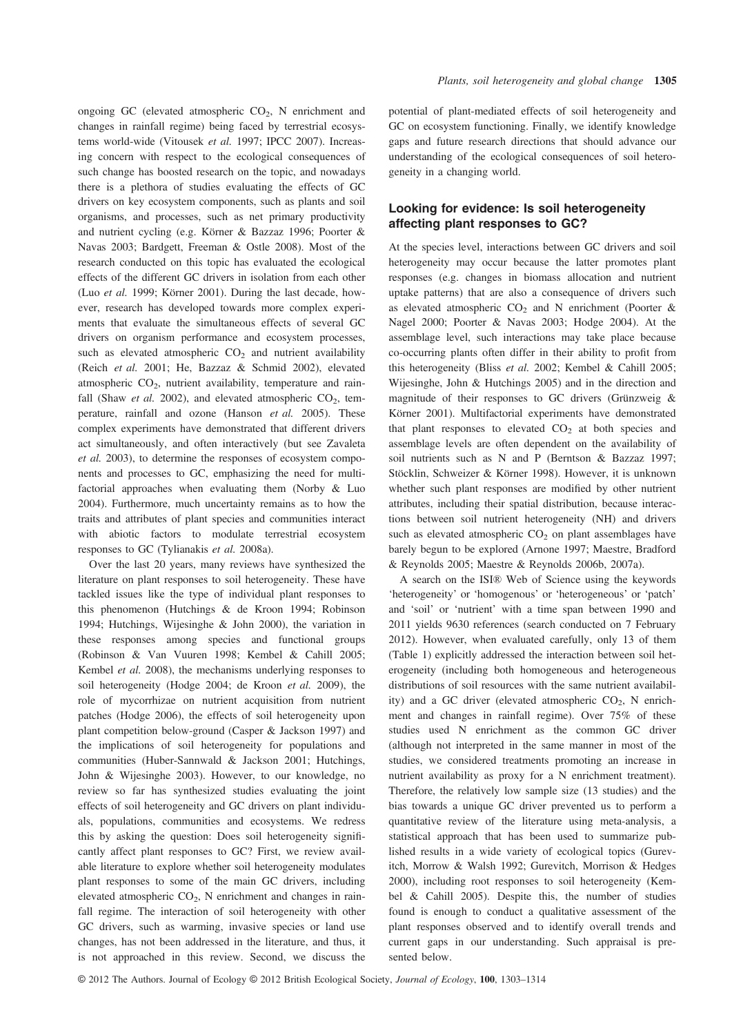ongoing GC (elevated atmospheric  $CO<sub>2</sub>$ , N enrichment and changes in rainfall regime) being faced by terrestrial ecosystems world-wide (Vitousek et al. 1997; IPCC 2007). Increasing concern with respect to the ecological consequences of such change has boosted research on the topic, and nowadays there is a plethora of studies evaluating the effects of GC drivers on key ecosystem components, such as plants and soil organisms, and processes, such as net primary productivity and nutrient cycling (e.g. Körner & Bazzaz 1996; Poorter & Navas 2003; Bardgett, Freeman & Ostle 2008). Most of the research conducted on this topic has evaluated the ecological effects of the different GC drivers in isolation from each other (Luo et al. 1999; Körner 2001). During the last decade, however, research has developed towards more complex experiments that evaluate the simultaneous effects of several GC drivers on organism performance and ecosystem processes, such as elevated atmospheric  $CO<sub>2</sub>$  and nutrient availability (Reich et al. 2001; He, Bazzaz & Schmid 2002), elevated atmospheric  $CO<sub>2</sub>$ , nutrient availability, temperature and rainfall (Shaw et al. 2002), and elevated atmospheric  $CO<sub>2</sub>$ , temperature, rainfall and ozone (Hanson et al. 2005). These complex experiments have demonstrated that different drivers act simultaneously, and often interactively (but see Zavaleta et al. 2003), to determine the responses of ecosystem components and processes to GC, emphasizing the need for multifactorial approaches when evaluating them (Norby & Luo 2004). Furthermore, much uncertainty remains as to how the traits and attributes of plant species and communities interact with abiotic factors to modulate terrestrial ecosystem responses to GC (Tylianakis et al. 2008a).

Over the last 20 years, many reviews have synthesized the literature on plant responses to soil heterogeneity. These have tackled issues like the type of individual plant responses to this phenomenon (Hutchings & de Kroon 1994; Robinson 1994; Hutchings, Wijesinghe & John 2000), the variation in these responses among species and functional groups (Robinson & Van Vuuren 1998; Kembel & Cahill 2005; Kembel et al. 2008), the mechanisms underlying responses to soil heterogeneity (Hodge 2004; de Kroon et al. 2009), the role of mycorrhizae on nutrient acquisition from nutrient patches (Hodge 2006), the effects of soil heterogeneity upon plant competition below-ground (Casper & Jackson 1997) and the implications of soil heterogeneity for populations and communities (Huber-Sannwald & Jackson 2001; Hutchings, John & Wijesinghe 2003). However, to our knowledge, no review so far has synthesized studies evaluating the joint effects of soil heterogeneity and GC drivers on plant individuals, populations, communities and ecosystems. We redress this by asking the question: Does soil heterogeneity significantly affect plant responses to GC? First, we review available literature to explore whether soil heterogeneity modulates plant responses to some of the main GC drivers, including elevated atmospheric  $CO<sub>2</sub>$ , N enrichment and changes in rainfall regime. The interaction of soil heterogeneity with other GC drivers, such as warming, invasive species or land use changes, has not been addressed in the literature, and thus, it is not approached in this review. Second, we discuss the potential of plant-mediated effects of soil heterogeneity and GC on ecosystem functioning. Finally, we identify knowledge gaps and future research directions that should advance our understanding of the ecological consequences of soil heterogeneity in a changing world.

## Looking for evidence: Is soil heterogeneity affecting plant responses to GC?

At the species level, interactions between GC drivers and soil heterogeneity may occur because the latter promotes plant responses (e.g. changes in biomass allocation and nutrient uptake patterns) that are also a consequence of drivers such as elevated atmospheric  $CO<sub>2</sub>$  and N enrichment (Poorter & Nagel 2000; Poorter & Navas 2003; Hodge 2004). At the assemblage level, such interactions may take place because co-occurring plants often differ in their ability to profit from this heterogeneity (Bliss et al. 2002; Kembel & Cahill 2005; Wijesinghe, John & Hutchings 2005) and in the direction and magnitude of their responses to GC drivers (Grünzweig & Körner 2001). Multifactorial experiments have demonstrated that plant responses to elevated  $CO<sub>2</sub>$  at both species and assemblage levels are often dependent on the availability of soil nutrients such as N and P (Berntson & Bazzaz 1997; Stöcklin, Schweizer & Körner 1998). However, it is unknown whether such plant responses are modified by other nutrient attributes, including their spatial distribution, because interactions between soil nutrient heterogeneity (NH) and drivers such as elevated atmospheric  $CO<sub>2</sub>$  on plant assemblages have barely begun to be explored (Arnone 1997; Maestre, Bradford & Reynolds 2005; Maestre & Reynolds 2006b, 2007a).

A search on the ISI® Web of Science using the keywords 'heterogeneity' or 'homogenous' or 'heterogeneous' or 'patch' and 'soil' or 'nutrient' with a time span between 1990 and 2011 yields 9630 references (search conducted on 7 February 2012). However, when evaluated carefully, only 13 of them (Table 1) explicitly addressed the interaction between soil heterogeneity (including both homogeneous and heterogeneous distributions of soil resources with the same nutrient availability) and a GC driver (elevated atmospheric  $CO<sub>2</sub>$ , N enrichment and changes in rainfall regime). Over 75% of these studies used N enrichment as the common GC driver (although not interpreted in the same manner in most of the studies, we considered treatments promoting an increase in nutrient availability as proxy for a N enrichment treatment). Therefore, the relatively low sample size (13 studies) and the bias towards a unique GC driver prevented us to perform a quantitative review of the literature using meta-analysis, a statistical approach that has been used to summarize published results in a wide variety of ecological topics (Gurevitch, Morrow & Walsh 1992; Gurevitch, Morrison & Hedges 2000), including root responses to soil heterogeneity (Kembel & Cahill 2005). Despite this, the number of studies found is enough to conduct a qualitative assessment of the plant responses observed and to identify overall trends and current gaps in our understanding. Such appraisal is presented below.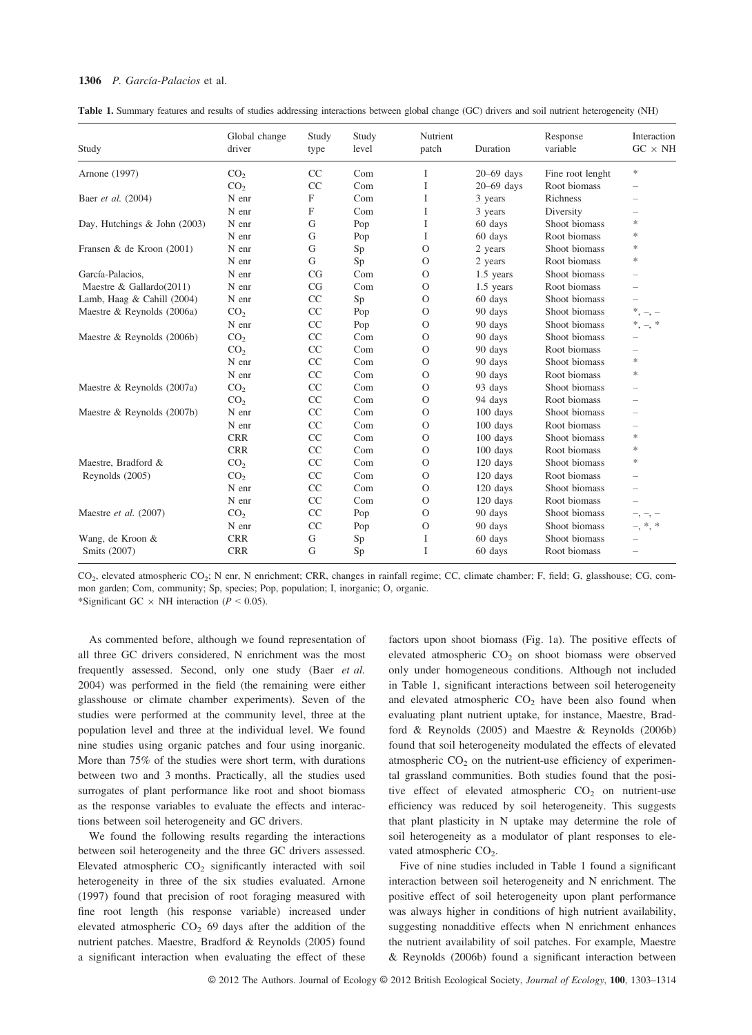#### 1306 P. García-Palacios et al.

Table 1. Summary features and results of studies addressing interactions between global change (GC) drivers and soil nutrient heterogeneity (NH)

| Study                        | Global change<br>driver | Study<br>type | Study<br>level | Nutrient<br>patch | Duration     | Response<br>variable | Interaction<br>$GC \times NH$ |
|------------------------------|-------------------------|---------------|----------------|-------------------|--------------|----------------------|-------------------------------|
|                              |                         |               |                |                   |              |                      |                               |
| CO <sub>2</sub>              | CC                      | Com           | I              | $20-69$ days      | Root biomass |                      |                               |
| Baer et al. (2004)           | N enr                   | F             | Com            | I                 | 3 years      | Richness             |                               |
|                              | N enr                   | F             | Com            | I                 | 3 years      | Diversity            |                               |
| Day, Hutchings & John (2003) | N enr                   | G             | Pop            | I                 | 60 days      | Shoot biomass        | $\frac{1}{2}$                 |
|                              | N enr                   | G             | Pop            | I                 | 60 days      | Root biomass         | $\frac{1}{2}$                 |
| Fransen & de Kroon (2001)    | N enr                   | G             | Sp             | $\Omega$          | 2 years      | Shoot biomass        | $\frac{1}{2}$                 |
|                              | N enr                   | G             | Sp             | $\Omega$          | 2 years      | Root biomass         | $\frac{1}{2}$                 |
| García-Palacios,             | N enr                   | CG            | Com            | $\Omega$          | 1.5 years    | Shoot biomass        |                               |
| Maestre & Gallardo $(2011)$  | N enr                   | CG            | Com            | $\Omega$          | 1.5 years    | Root biomass         |                               |
| Lamb, Haag & Cahill (2004)   | N enr                   | CC            | Sp             | $\Omega$          | 60 days      | Shoot biomass        |                               |
| Maestre & Reynolds (2006a)   | CO <sub>2</sub>         | CC            | Pop            | $\Omega$          | 90 days      | Shoot biomass        | *<br>$-$ , $-$                |
|                              | N enr                   | CC            | Pop            | $\Omega$          | 90 days      | Shoot biomass        | $^{\ast},$<br>$\frac{1}{2}$   |
| Maestre & Reynolds (2006b)   | CO <sub>2</sub>         | CC            | Com            | $\Omega$          | 90 days      | Shoot biomass        |                               |
|                              | CO <sub>2</sub>         | CC            | Com            | $\Omega$          | 90 days      | Root biomass         |                               |
|                              | N enr                   | CC            | Com            | $\Omega$          | 90 days      | Shoot biomass        | $\frac{1}{2}$                 |
|                              | N enr                   | CC            | Com            | $\Omega$          | 90 days      | Root biomass         | *                             |
| Maestre & Reynolds (2007a)   | CO <sub>2</sub>         | CC            | Com            | $\Omega$          | 93 days      | Shoot biomass        |                               |
|                              | CO <sub>2</sub>         | CC            | Com            | $\Omega$          | 94 days      | Root biomass         |                               |
| Maestre & Reynolds (2007b)   | N enr                   | CC            | Com            | $\Omega$          | 100 days     | Shoot biomass        |                               |
|                              | N enr                   | CC            | Com            | $\Omega$          | 100 days     | Root biomass         |                               |
|                              | <b>CRR</b>              | CC            | Com            | $\Omega$          | 100 days     | Shoot biomass        | $\frac{1}{2}$                 |
|                              | <b>CRR</b>              | CC            | Com            | $\Omega$          | $100$ days   | Root biomass         | $\frac{1}{2}$                 |
| Maestre, Bradford &          | CO <sub>2</sub>         | CC            | Com            | $\Omega$          | $120$ days   | Shoot biomass        | $\frac{1}{2}$                 |
| Reynolds (2005)              | CO <sub>2</sub>         | CC            | Com            | $\Omega$          | 120 days     | Root biomass         |                               |
|                              | N enr                   | CC            | Com            | $\Omega$          | 120 days     | Shoot biomass        | $\overline{\phantom{a}}$      |
|                              | N enr                   | CC            | Com            | $\mathcal{O}$     | 120 days     | Root biomass         |                               |
| Maestre et al. (2007)        | CO <sub>2</sub>         | CC            | Pop            | $\mathcal{O}$     | 90 days      | Shoot biomass        |                               |
|                              | N enr                   | CC            | Pop            | $\Omega$          | 90 days      | Shoot biomass        | $^\ast,$                      |
| Wang, de Kroon &             | <b>CRR</b>              | G             | Sp             | I                 | 60 days      | Shoot biomass        |                               |
| Smits (2007)                 | <b>CRR</b>              | G             | Sp             | I                 | 60 days      | Root biomass         |                               |

CO2, elevated atmospheric CO2; N enr, N enrichment; CRR, changes in rainfall regime; CC, climate chamber; F, field; G, glasshouse; CG, common garden; Com, community; Sp, species; Pop, population; I, inorganic; O, organic.

\*Significant GC  $\times$  NH interaction ( $P \le 0.05$ ).

As commented before, although we found representation of all three GC drivers considered, N enrichment was the most frequently assessed. Second, only one study (Baer et al. 2004) was performed in the field (the remaining were either glasshouse or climate chamber experiments). Seven of the studies were performed at the community level, three at the population level and three at the individual level. We found nine studies using organic patches and four using inorganic. More than 75% of the studies were short term, with durations between two and 3 months. Practically, all the studies used surrogates of plant performance like root and shoot biomass as the response variables to evaluate the effects and interactions between soil heterogeneity and GC drivers.

We found the following results regarding the interactions between soil heterogeneity and the three GC drivers assessed. Elevated atmospheric  $CO<sub>2</sub>$  significantly interacted with soil heterogeneity in three of the six studies evaluated. Arnone (1997) found that precision of root foraging measured with fine root length (his response variable) increased under elevated atmospheric  $CO<sub>2</sub>$  69 days after the addition of the nutrient patches. Maestre, Bradford & Reynolds (2005) found a significant interaction when evaluating the effect of these factors upon shoot biomass (Fig. 1a). The positive effects of elevated atmospheric  $CO<sub>2</sub>$  on shoot biomass were observed only under homogeneous conditions. Although not included in Table 1, significant interactions between soil heterogeneity and elevated atmospheric  $CO<sub>2</sub>$  have been also found when evaluating plant nutrient uptake, for instance, Maestre, Bradford & Reynolds (2005) and Maestre & Reynolds (2006b) found that soil heterogeneity modulated the effects of elevated atmospheric  $CO<sub>2</sub>$  on the nutrient-use efficiency of experimental grassland communities. Both studies found that the positive effect of elevated atmospheric  $CO<sub>2</sub>$  on nutrient-use efficiency was reduced by soil heterogeneity. This suggests that plant plasticity in N uptake may determine the role of soil heterogeneity as a modulator of plant responses to elevated atmospheric CO<sub>2</sub>.

Five of nine studies included in Table 1 found a significant interaction between soil heterogeneity and N enrichment. The positive effect of soil heterogeneity upon plant performance was always higher in conditions of high nutrient availability, suggesting nonadditive effects when N enrichment enhances the nutrient availability of soil patches. For example, Maestre & Reynolds (2006b) found a significant interaction between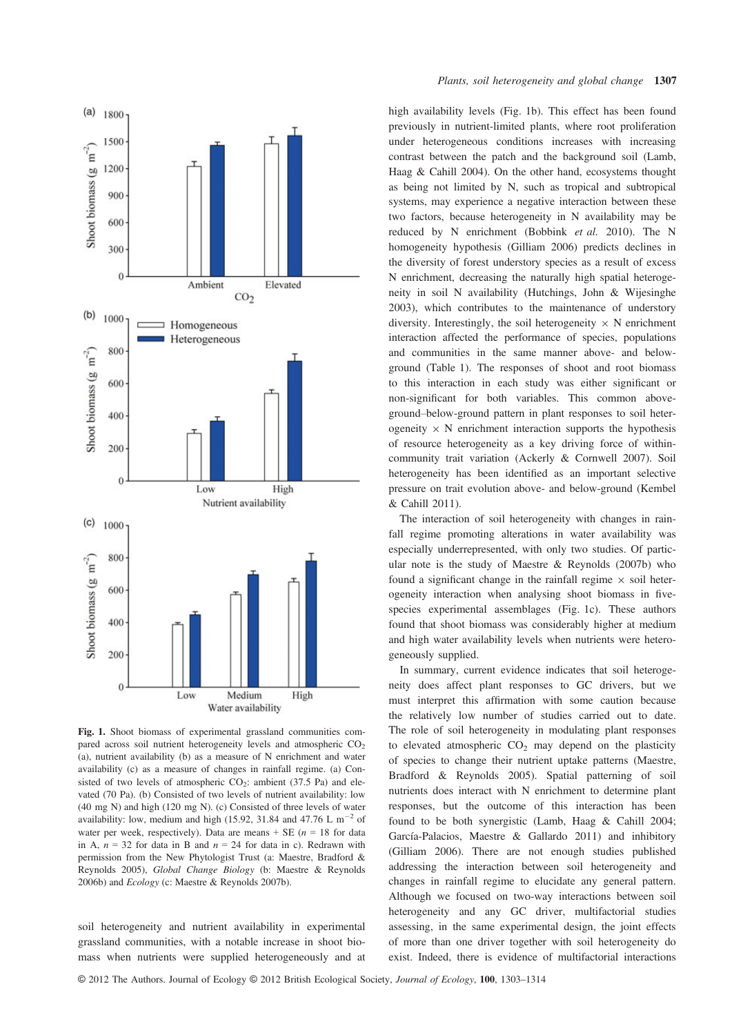

Fig. 1. Shoot biomass of experimental grassland communities compared across soil nutrient heterogeneity levels and atmospheric  $CO<sub>2</sub>$ (a), nutrient availability (b) as a measure of N enrichment and water availability (c) as a measure of changes in rainfall regime. (a) Consisted of two levels of atmospheric  $CO<sub>2</sub>$ : ambient (37.5 Pa) and elevated (70 Pa). (b) Consisted of two levels of nutrient availability: low (40 mg N) and high (120 mg N). (c) Consisted of three levels of water availability: low, medium and high (15.92, 31.84 and 47.76 L  $\text{m}^{-2}$  of water per week, respectively). Data are means  $+$  SE ( $n = 18$  for data in A,  $n = 32$  for data in B and  $n = 24$  for data in c). Redrawn with permission from the New Phytologist Trust (a: Maestre, Bradford & Reynolds 2005), Global Change Biology (b: Maestre & Reynolds 2006b) and Ecology (c: Maestre & Reynolds 2007b).

soil heterogeneity and nutrient availability in experimental grassland communities, with a notable increase in shoot biomass when nutrients were supplied heterogeneously and at high availability levels (Fig. 1b). This effect has been found previously in nutrient-limited plants, where root proliferation under heterogeneous conditions increases with increasing contrast between the patch and the background soil (Lamb, Haag & Cahill 2004). On the other hand, ecosystems thought as being not limited by N, such as tropical and subtropical systems, may experience a negative interaction between these two factors, because heterogeneity in N availability may be reduced by N enrichment (Bobbink et al. 2010). The N homogeneity hypothesis (Gilliam 2006) predicts declines in the diversity of forest understory species as a result of excess N enrichment, decreasing the naturally high spatial heterogeneity in soil N availability (Hutchings, John & Wijesinghe 2003), which contributes to the maintenance of understory diversity. Interestingly, the soil heterogeneity  $\times N$  enrichment interaction affected the performance of species, populations and communities in the same manner above- and belowground (Table 1). The responses of shoot and root biomass to this interaction in each study was either significant or non-significant for both variables. This common aboveground–below-ground pattern in plant responses to soil heterogeneity  $\times$  N enrichment interaction supports the hypothesis of resource heterogeneity as a key driving force of withincommunity trait variation (Ackerly & Cornwell 2007). Soil heterogeneity has been identified as an important selective pressure on trait evolution above- and below-ground (Kembel & Cahill 2011).

The interaction of soil heterogeneity with changes in rainfall regime promoting alterations in water availability was especially underrepresented, with only two studies. Of particular note is the study of Maestre & Reynolds (2007b) who found a significant change in the rainfall regime  $\times$  soil heterogeneity interaction when analysing shoot biomass in fivespecies experimental assemblages (Fig. 1c). These authors found that shoot biomass was considerably higher at medium and high water availability levels when nutrients were heterogeneously supplied.

In summary, current evidence indicates that soil heterogeneity does affect plant responses to GC drivers, but we must interpret this affirmation with some caution because the relatively low number of studies carried out to date. The role of soil heterogeneity in modulating plant responses to elevated atmospheric  $CO<sub>2</sub>$  may depend on the plasticity of species to change their nutrient uptake patterns (Maestre, Bradford & Reynolds 2005). Spatial patterning of soil nutrients does interact with N enrichment to determine plant responses, but the outcome of this interaction has been found to be both synergistic (Lamb, Haag & Cahill 2004; García-Palacios, Maestre & Gallardo 2011) and inhibitory (Gilliam 2006). There are not enough studies published addressing the interaction between soil heterogeneity and changes in rainfall regime to elucidate any general pattern. Although we focused on two-way interactions between soil heterogeneity and any GC driver, multifactorial studies assessing, in the same experimental design, the joint effects of more than one driver together with soil heterogeneity do exist. Indeed, there is evidence of multifactorial interactions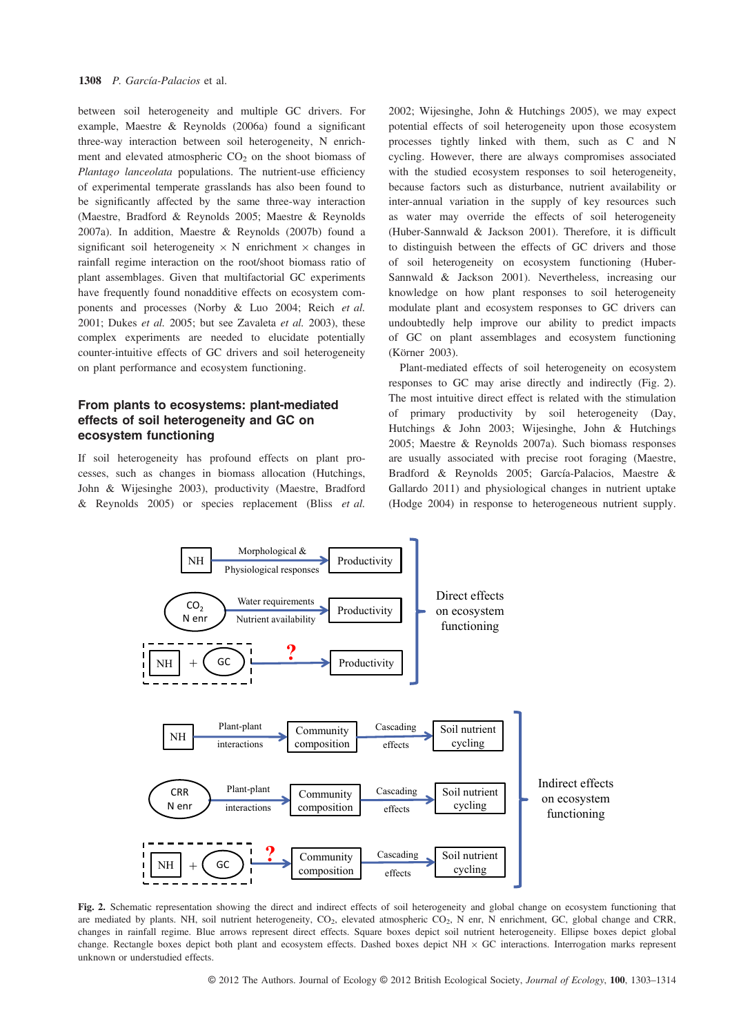between soil heterogeneity and multiple GC drivers. For example, Maestre & Reynolds (2006a) found a significant three-way interaction between soil heterogeneity, N enrichment and elevated atmospheric  $CO<sub>2</sub>$  on the shoot biomass of Plantago lanceolata populations. The nutrient-use efficiency of experimental temperate grasslands has also been found to be significantly affected by the same three-way interaction (Maestre, Bradford & Reynolds 2005; Maestre & Reynolds 2007a). In addition, Maestre & Reynolds (2007b) found a significant soil heterogeneity  $\times N$  enrichment  $\times$  changes in rainfall regime interaction on the root/shoot biomass ratio of plant assemblages. Given that multifactorial GC experiments have frequently found nonadditive effects on ecosystem components and processes (Norby & Luo 2004; Reich et al. 2001; Dukes et al. 2005; but see Zavaleta et al. 2003), these complex experiments are needed to elucidate potentially counter-intuitive effects of GC drivers and soil heterogeneity on plant performance and ecosystem functioning.

# From plants to ecosystems: plant-mediated effects of soil heterogeneity and GC on ecosystem functioning

If soil heterogeneity has profound effects on plant processes, such as changes in biomass allocation (Hutchings, John & Wijesinghe 2003), productivity (Maestre, Bradford & Reynolds 2005) or species replacement (Bliss et al. 2002; Wijesinghe, John & Hutchings 2005), we may expect potential effects of soil heterogeneity upon those ecosystem processes tightly linked with them, such as C and N cycling. However, there are always compromises associated with the studied ecosystem responses to soil heterogeneity, because factors such as disturbance, nutrient availability or inter-annual variation in the supply of key resources such as water may override the effects of soil heterogeneity (Huber-Sannwald & Jackson 2001). Therefore, it is difficult to distinguish between the effects of GC drivers and those of soil heterogeneity on ecosystem functioning (Huber-Sannwald & Jackson 2001). Nevertheless, increasing our knowledge on how plant responses to soil heterogeneity modulate plant and ecosystem responses to GC drivers can undoubtedly help improve our ability to predict impacts of GC on plant assemblages and ecosystem functioning (Körner 2003).

Plant-mediated effects of soil heterogeneity on ecosystem responses to GC may arise directly and indirectly (Fig. 2). The most intuitive direct effect is related with the stimulation of primary productivity by soil heterogeneity (Day, Hutchings & John 2003; Wijesinghe, John & Hutchings 2005; Maestre & Reynolds 2007a). Such biomass responses are usually associated with precise root foraging (Maestre, Bradford & Reynolds 2005; García-Palacios, Maestre & Gallardo 2011) and physiological changes in nutrient uptake (Hodge 2004) in response to heterogeneous nutrient supply.



Fig. 2. Schematic representation showing the direct and indirect effects of soil heterogeneity and global change on ecosystem functioning that are mediated by plants. NH, soil nutrient heterogeneity, CO<sub>2</sub>, elevated atmospheric CO<sub>2</sub>, N enr, N enrichment, GC, global change and CRR, changes in rainfall regime. Blue arrows represent direct effects. Square boxes depict soil nutrient heterogeneity. Ellipse boxes depict global change. Rectangle boxes depict both plant and ecosystem effects. Dashed boxes depict NH  $\times$  GC interactions. Interrogation marks represent unknown or understudied effects.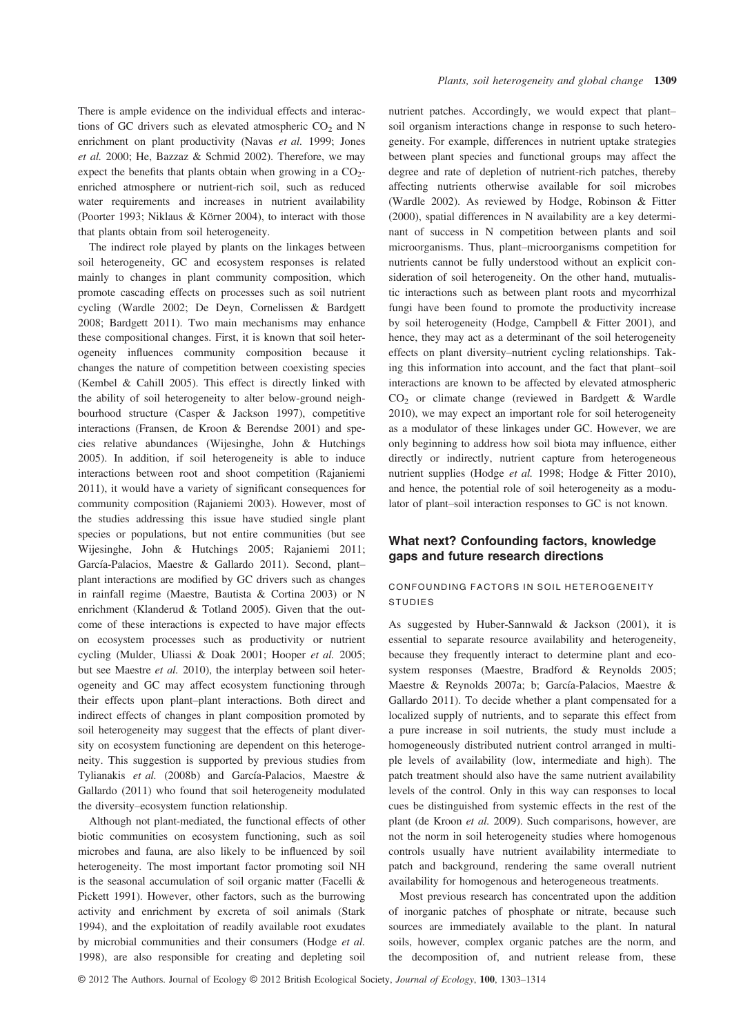There is ample evidence on the individual effects and interactions of GC drivers such as elevated atmospheric  $CO<sub>2</sub>$  and N enrichment on plant productivity (Navas et al. 1999; Jones et al. 2000; He, Bazzaz & Schmid 2002). Therefore, we may expect the benefits that plants obtain when growing in a  $CO<sub>2</sub>$ enriched atmosphere or nutrient-rich soil, such as reduced water requirements and increases in nutrient availability (Poorter 1993; Niklaus & Körner 2004), to interact with those that plants obtain from soil heterogeneity.

The indirect role played by plants on the linkages between soil heterogeneity, GC and ecosystem responses is related mainly to changes in plant community composition, which promote cascading effects on processes such as soil nutrient cycling (Wardle 2002; De Deyn, Cornelissen & Bardgett 2008; Bardgett 2011). Two main mechanisms may enhance these compositional changes. First, it is known that soil heterogeneity influences community composition because it changes the nature of competition between coexisting species (Kembel & Cahill 2005). This effect is directly linked with the ability of soil heterogeneity to alter below-ground neighbourhood structure (Casper & Jackson 1997), competitive interactions (Fransen, de Kroon & Berendse 2001) and species relative abundances (Wijesinghe, John & Hutchings 2005). In addition, if soil heterogeneity is able to induce interactions between root and shoot competition (Rajaniemi 2011), it would have a variety of significant consequences for community composition (Rajaniemi 2003). However, most of the studies addressing this issue have studied single plant species or populations, but not entire communities (but see Wijesinghe, John & Hutchings 2005; Rajaniemi 2011; García-Palacios, Maestre & Gallardo 2011). Second, plant– plant interactions are modified by GC drivers such as changes in rainfall regime (Maestre, Bautista & Cortina 2003) or N enrichment (Klanderud & Totland 2005). Given that the outcome of these interactions is expected to have major effects on ecosystem processes such as productivity or nutrient cycling (Mulder, Uliassi & Doak 2001; Hooper et al. 2005; but see Maestre et al. 2010), the interplay between soil heterogeneity and GC may affect ecosystem functioning through their effects upon plant–plant interactions. Both direct and indirect effects of changes in plant composition promoted by soil heterogeneity may suggest that the effects of plant diversity on ecosystem functioning are dependent on this heterogeneity. This suggestion is supported by previous studies from Tylianakis et al. (2008b) and García-Palacios, Maestre & Gallardo (2011) who found that soil heterogeneity modulated the diversity–ecosystem function relationship.

Although not plant-mediated, the functional effects of other biotic communities on ecosystem functioning, such as soil microbes and fauna, are also likely to be influenced by soil heterogeneity. The most important factor promoting soil NH is the seasonal accumulation of soil organic matter (Facelli & Pickett 1991). However, other factors, such as the burrowing activity and enrichment by excreta of soil animals (Stark 1994), and the exploitation of readily available root exudates by microbial communities and their consumers (Hodge et al. 1998), are also responsible for creating and depleting soil

nutrient patches. Accordingly, we would expect that plant– soil organism interactions change in response to such heterogeneity. For example, differences in nutrient uptake strategies between plant species and functional groups may affect the degree and rate of depletion of nutrient-rich patches, thereby affecting nutrients otherwise available for soil microbes (Wardle 2002). As reviewed by Hodge, Robinson & Fitter (2000), spatial differences in N availability are a key determinant of success in N competition between plants and soil microorganisms. Thus, plant–microorganisms competition for nutrients cannot be fully understood without an explicit consideration of soil heterogeneity. On the other hand, mutualistic interactions such as between plant roots and mycorrhizal fungi have been found to promote the productivity increase by soil heterogeneity (Hodge, Campbell & Fitter 2001), and hence, they may act as a determinant of the soil heterogeneity effects on plant diversity–nutrient cycling relationships. Taking this information into account, and the fact that plant–soil interactions are known to be affected by elevated atmospheric CO2 or climate change (reviewed in Bardgett & Wardle 2010), we may expect an important role for soil heterogeneity as a modulator of these linkages under GC. However, we are only beginning to address how soil biota may influence, either directly or indirectly, nutrient capture from heterogeneous nutrient supplies (Hodge et al. 1998; Hodge & Fitter 2010), and hence, the potential role of soil heterogeneity as a modulator of plant–soil interaction responses to GC is not known.

### What next? Confounding factors, knowledge gaps and future research directions

#### CONFOUNDING FACTORS IN SOIL HETEROGENEITY STUDIES

As suggested by Huber-Sannwald & Jackson (2001), it is essential to separate resource availability and heterogeneity, because they frequently interact to determine plant and ecosystem responses (Maestre, Bradford & Reynolds 2005; Maestre & Reynolds 2007a; b; García-Palacios, Maestre & Gallardo 2011). To decide whether a plant compensated for a localized supply of nutrients, and to separate this effect from a pure increase in soil nutrients, the study must include a homogeneously distributed nutrient control arranged in multiple levels of availability (low, intermediate and high). The patch treatment should also have the same nutrient availability levels of the control. Only in this way can responses to local cues be distinguished from systemic effects in the rest of the plant (de Kroon et al. 2009). Such comparisons, however, are not the norm in soil heterogeneity studies where homogenous controls usually have nutrient availability intermediate to patch and background, rendering the same overall nutrient availability for homogenous and heterogeneous treatments.

Most previous research has concentrated upon the addition of inorganic patches of phosphate or nitrate, because such sources are immediately available to the plant. In natural soils, however, complex organic patches are the norm, and the decomposition of, and nutrient release from, these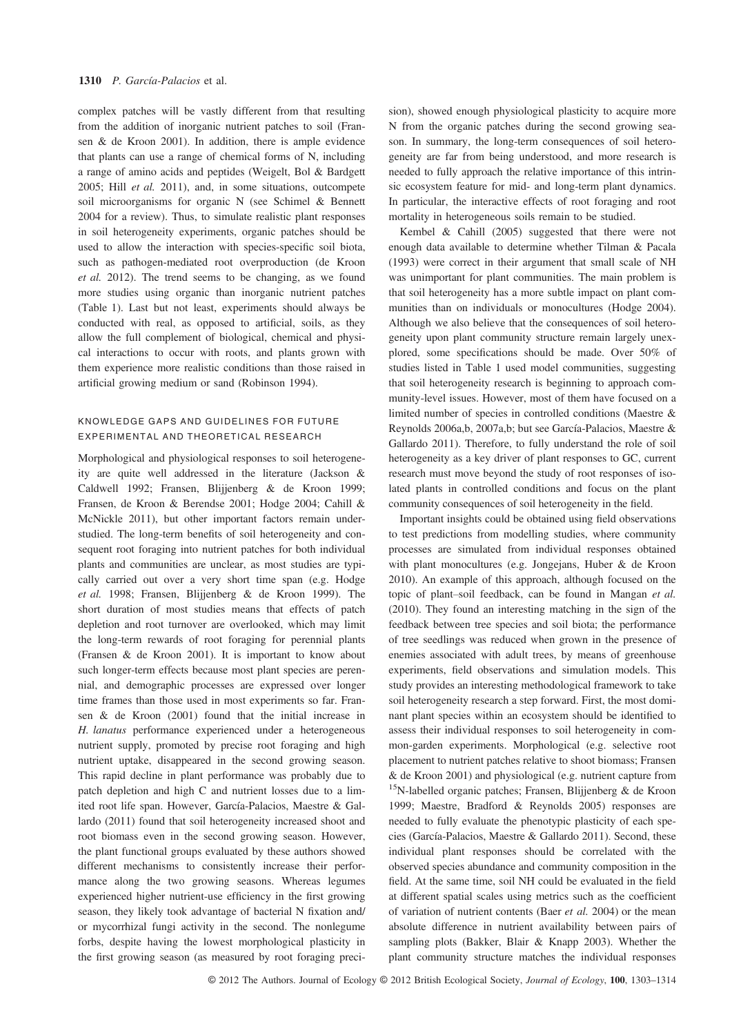complex patches will be vastly different from that resulting from the addition of inorganic nutrient patches to soil (Fransen & de Kroon 2001). In addition, there is ample evidence that plants can use a range of chemical forms of N, including a range of amino acids and peptides (Weigelt, Bol & Bardgett 2005; Hill et al. 2011), and, in some situations, outcompete soil microorganisms for organic N (see Schimel & Bennett 2004 for a review). Thus, to simulate realistic plant responses in soil heterogeneity experiments, organic patches should be used to allow the interaction with species-specific soil biota, such as pathogen-mediated root overproduction (de Kroon et al. 2012). The trend seems to be changing, as we found more studies using organic than inorganic nutrient patches (Table 1). Last but not least, experiments should always be conducted with real, as opposed to artificial, soils, as they allow the full complement of biological, chemical and physical interactions to occur with roots, and plants grown with them experience more realistic conditions than those raised in artificial growing medium or sand (Robinson 1994).

### KNOWLEDGE GAPS AND GUIDELINES FOR FUTURE EXPERIMENTAL AND THEORETICAL RESEARCH

Morphological and physiological responses to soil heterogeneity are quite well addressed in the literature (Jackson & Caldwell 1992; Fransen, Blijjenberg & de Kroon 1999; Fransen, de Kroon & Berendse 2001; Hodge 2004; Cahill & McNickle 2011), but other important factors remain understudied. The long-term benefits of soil heterogeneity and consequent root foraging into nutrient patches for both individual plants and communities are unclear, as most studies are typically carried out over a very short time span (e.g. Hodge et al. 1998; Fransen, Blijjenberg & de Kroon 1999). The short duration of most studies means that effects of patch depletion and root turnover are overlooked, which may limit the long-term rewards of root foraging for perennial plants (Fransen & de Kroon 2001). It is important to know about such longer-term effects because most plant species are perennial, and demographic processes are expressed over longer time frames than those used in most experiments so far. Fransen & de Kroon (2001) found that the initial increase in H. lanatus performance experienced under a heterogeneous nutrient supply, promoted by precise root foraging and high nutrient uptake, disappeared in the second growing season. This rapid decline in plant performance was probably due to patch depletion and high C and nutrient losses due to a limited root life span. However, García-Palacios, Maestre & Gallardo (2011) found that soil heterogeneity increased shoot and root biomass even in the second growing season. However, the plant functional groups evaluated by these authors showed different mechanisms to consistently increase their performance along the two growing seasons. Whereas legumes experienced higher nutrient-use efficiency in the first growing season, they likely took advantage of bacterial N fixation and/ or mycorrhizal fungi activity in the second. The nonlegume forbs, despite having the lowest morphological plasticity in the first growing season (as measured by root foraging precision), showed enough physiological plasticity to acquire more N from the organic patches during the second growing season. In summary, the long-term consequences of soil heterogeneity are far from being understood, and more research is needed to fully approach the relative importance of this intrinsic ecosystem feature for mid- and long-term plant dynamics. In particular, the interactive effects of root foraging and root mortality in heterogeneous soils remain to be studied.

Kembel & Cahill (2005) suggested that there were not enough data available to determine whether Tilman & Pacala (1993) were correct in their argument that small scale of NH was unimportant for plant communities. The main problem is that soil heterogeneity has a more subtle impact on plant communities than on individuals or monocultures (Hodge 2004). Although we also believe that the consequences of soil heterogeneity upon plant community structure remain largely unexplored, some specifications should be made. Over 50% of studies listed in Table 1 used model communities, suggesting that soil heterogeneity research is beginning to approach community-level issues. However, most of them have focused on a limited number of species in controlled conditions (Maestre & Reynolds 2006a,b, 2007a,b; but see García-Palacios, Maestre & Gallardo 2011). Therefore, to fully understand the role of soil heterogeneity as a key driver of plant responses to GC, current research must move beyond the study of root responses of isolated plants in controlled conditions and focus on the plant community consequences of soil heterogeneity in the field.

Important insights could be obtained using field observations to test predictions from modelling studies, where community processes are simulated from individual responses obtained with plant monocultures (e.g. Jongejans, Huber & de Kroon 2010). An example of this approach, although focused on the topic of plant–soil feedback, can be found in Mangan et al. (2010). They found an interesting matching in the sign of the feedback between tree species and soil biota; the performance of tree seedlings was reduced when grown in the presence of enemies associated with adult trees, by means of greenhouse experiments, field observations and simulation models. This study provides an interesting methodological framework to take soil heterogeneity research a step forward. First, the most dominant plant species within an ecosystem should be identified to assess their individual responses to soil heterogeneity in common-garden experiments. Morphological (e.g. selective root placement to nutrient patches relative to shoot biomass; Fransen & de Kroon 2001) and physiological (e.g. nutrient capture from <sup>15</sup>N-labelled organic patches; Fransen, Blijjenberg & de Kroon 1999; Maestre, Bradford & Reynolds 2005) responses are needed to fully evaluate the phenotypic plasticity of each species (García-Palacios, Maestre & Gallardo 2011). Second, these individual plant responses should be correlated with the observed species abundance and community composition in the field. At the same time, soil NH could be evaluated in the field at different spatial scales using metrics such as the coefficient of variation of nutrient contents (Baer et al. 2004) or the mean absolute difference in nutrient availability between pairs of sampling plots (Bakker, Blair & Knapp 2003). Whether the plant community structure matches the individual responses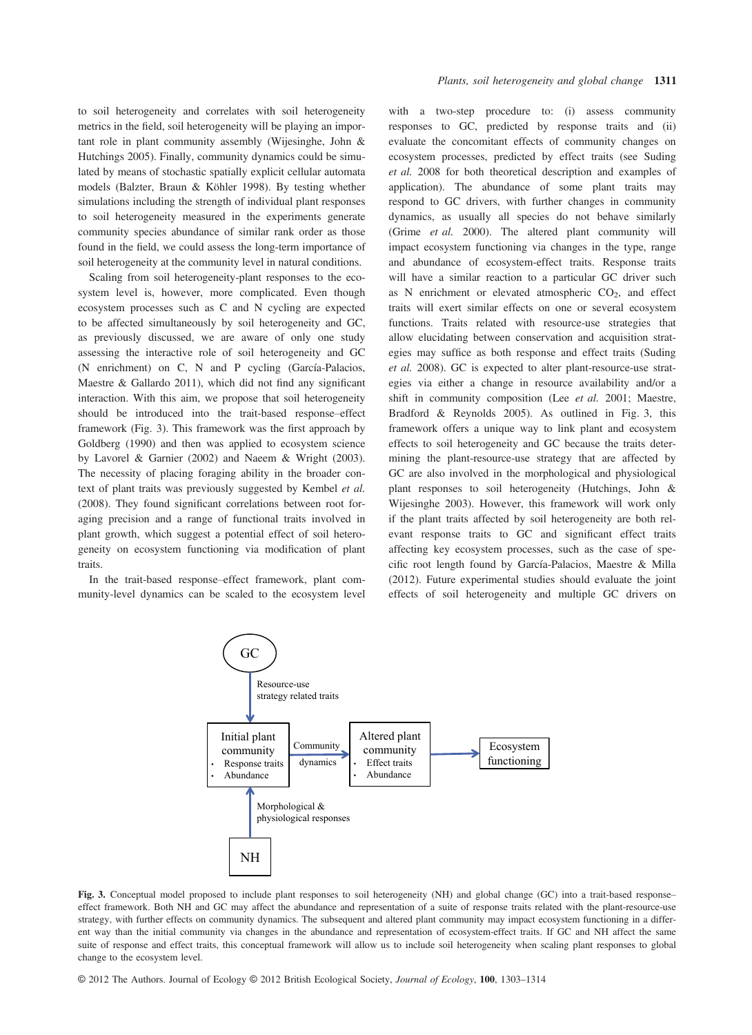to soil heterogeneity and correlates with soil heterogeneity metrics in the field, soil heterogeneity will be playing an important role in plant community assembly (Wijesinghe, John & Hutchings 2005). Finally, community dynamics could be simulated by means of stochastic spatially explicit cellular automata models (Balzter, Braun & Köhler 1998). By testing whether simulations including the strength of individual plant responses to soil heterogeneity measured in the experiments generate community species abundance of similar rank order as those found in the field, we could assess the long-term importance of soil heterogeneity at the community level in natural conditions.

Scaling from soil heterogeneity-plant responses to the ecosystem level is, however, more complicated. Even though ecosystem processes such as C and N cycling are expected to be affected simultaneously by soil heterogeneity and GC, as previously discussed, we are aware of only one study assessing the interactive role of soil heterogeneity and GC (N enrichment) on C, N and P cycling (García-Palacios, Maestre & Gallardo 2011), which did not find any significant interaction. With this aim, we propose that soil heterogeneity should be introduced into the trait-based response–effect framework (Fig. 3). This framework was the first approach by Goldberg (1990) and then was applied to ecosystem science by Lavorel & Garnier (2002) and Naeem & Wright (2003). The necessity of placing foraging ability in the broader context of plant traits was previously suggested by Kembel et al. (2008). They found significant correlations between root foraging precision and a range of functional traits involved in plant growth, which suggest a potential effect of soil heterogeneity on ecosystem functioning via modification of plant traits.

In the trait-based response–effect framework, plant community-level dynamics can be scaled to the ecosystem level with a two-step procedure to: (i) assess community responses to GC, predicted by response traits and (ii) evaluate the concomitant effects of community changes on ecosystem processes, predicted by effect traits (see Suding et al. 2008 for both theoretical description and examples of application). The abundance of some plant traits may respond to GC drivers, with further changes in community dynamics, as usually all species do not behave similarly (Grime et al. 2000). The altered plant community will impact ecosystem functioning via changes in the type, range and abundance of ecosystem-effect traits. Response traits will have a similar reaction to a particular GC driver such as N enrichment or elevated atmospheric  $CO<sub>2</sub>$ , and effect traits will exert similar effects on one or several ecosystem functions. Traits related with resource-use strategies that allow elucidating between conservation and acquisition strategies may suffice as both response and effect traits (Suding et al. 2008). GC is expected to alter plant-resource-use strategies via either a change in resource availability and/or a shift in community composition (Lee et al. 2001; Maestre, Bradford & Reynolds 2005). As outlined in Fig. 3, this framework offers a unique way to link plant and ecosystem effects to soil heterogeneity and GC because the traits determining the plant-resource-use strategy that are affected by GC are also involved in the morphological and physiological plant responses to soil heterogeneity (Hutchings, John & Wijesinghe 2003). However, this framework will work only if the plant traits affected by soil heterogeneity are both relevant response traits to GC and significant effect traits affecting key ecosystem processes, such as the case of specific root length found by García-Palacios, Maestre & Milla (2012). Future experimental studies should evaluate the joint effects of soil heterogeneity and multiple GC drivers on



Fig. 3. Conceptual model proposed to include plant responses to soil heterogeneity (NH) and global change (GC) into a trait-based response– effect framework. Both NH and GC may affect the abundance and representation of a suite of response traits related with the plant-resource-use strategy, with further effects on community dynamics. The subsequent and altered plant community may impact ecosystem functioning in a different way than the initial community via changes in the abundance and representation of ecosystem-effect traits. If GC and NH affect the same suite of response and effect traits, this conceptual framework will allow us to include soil heterogeneity when scaling plant responses to global change to the ecosystem level.

© 2012 The Authors. Journal of Ecology © 2012 British Ecological Society, Journal of Ecology, 100, 1303–<sup>1314</sup>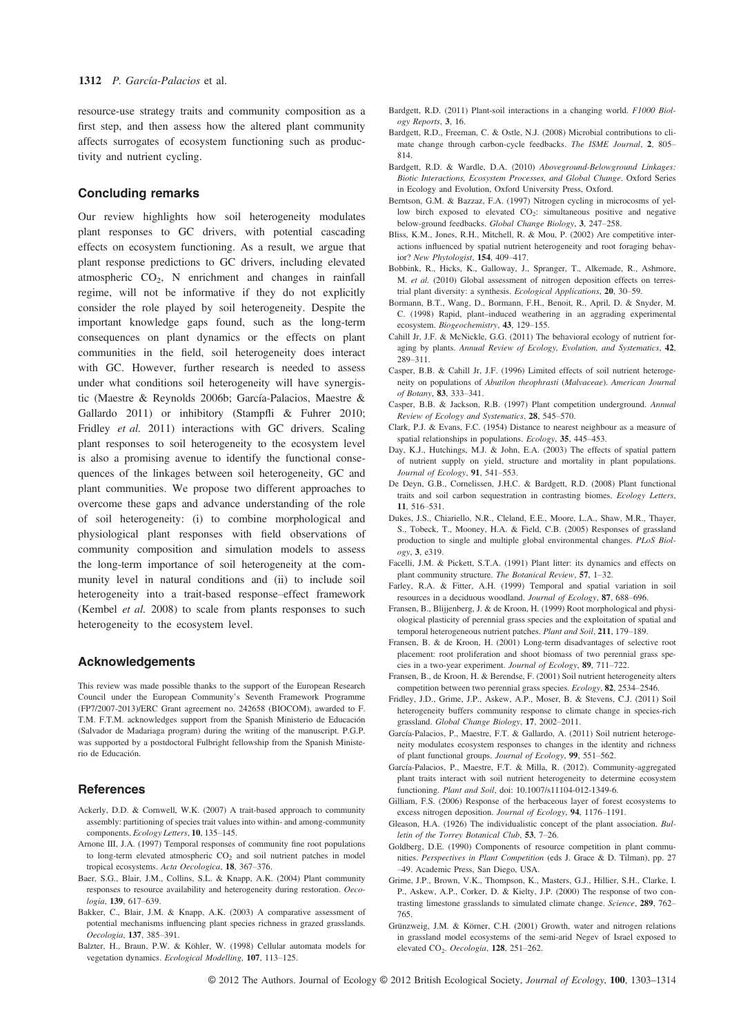resource-use strategy traits and community composition as a first step, and then assess how the altered plant community affects surrogates of ecosystem functioning such as productivity and nutrient cycling.

#### Concluding remarks

Our review highlights how soil heterogeneity modulates plant responses to GC drivers, with potential cascading effects on ecosystem functioning. As a result, we argue that plant response predictions to GC drivers, including elevated atmospheric  $CO<sub>2</sub>$ , N enrichment and changes in rainfall regime, will not be informative if they do not explicitly consider the role played by soil heterogeneity. Despite the important knowledge gaps found, such as the long-term consequences on plant dynamics or the effects on plant communities in the field, soil heterogeneity does interact with GC. However, further research is needed to assess under what conditions soil heterogeneity will have synergistic (Maestre & Reynolds 2006b; García-Palacios, Maestre & Gallardo 2011) or inhibitory (Stampfli & Fuhrer 2010; Fridley et al. 2011) interactions with GC drivers. Scaling plant responses to soil heterogeneity to the ecosystem level is also a promising avenue to identify the functional consequences of the linkages between soil heterogeneity, GC and plant communities. We propose two different approaches to overcome these gaps and advance understanding of the role of soil heterogeneity: (i) to combine morphological and physiological plant responses with field observations of community composition and simulation models to assess the long-term importance of soil heterogeneity at the community level in natural conditions and (ii) to include soil heterogeneity into a trait-based response–effect framework (Kembel et al. 2008) to scale from plants responses to such heterogeneity to the ecosystem level.

#### Acknowledgements

This review was made possible thanks to the support of the European Research Council under the European Community's Seventh Framework Programme (FP7/2007-2013)/ERC Grant agreement no. 242658 (BIOCOM), awarded to F. T.M. F.T.M. acknowledges support from the Spanish Ministerio de Educación (Salvador de Madariaga program) during the writing of the manuscript. P.G.P. was supported by a postdoctoral Fulbright fellowship from the Spanish Ministerio de Educación.

#### **References**

- Ackerly, D.D. & Cornwell, W.K. (2007) A trait-based approach to community assembly: partitioning of species trait values into within- and among-community components. Ecology Letters, 10, 135–145.
- Arnone III, J.A. (1997) Temporal responses of community fine root populations to long-term elevated atmospheric  $CO<sub>2</sub>$  and soil nutrient patches in model tropical ecosystems. Acta Oecologica, 18, 367–376.
- Baer, S.G., Blair, J.M., Collins, S.L. & Knapp, A.K. (2004) Plant community responses to resource availability and heterogeneity during restoration. Oecologia, 139, 617–639.
- Bakker, C., Blair, J.M. & Knapp, A.K. (2003) A comparative assessment of potential mechanisms influencing plant species richness in grazed grasslands. Oecologia, 137, 385–391.
- Balzter, H., Braun, P.W. & Köhler, W. (1998) Cellular automata models for vegetation dynamics. Ecological Modelling, 107, 113–125.
- Bardgett, R.D. (2011) Plant-soil interactions in a changing world. F1000 Biol-
- ogy Reports, 3, 16. Bardgett, R.D., Freeman, C. & Ostle, N.J. (2008) Microbial contributions to climate change through carbon-cycle feedbacks. The ISME Journal, 2, 805– 814.
- Bardgett, R.D. & Wardle, D.A. (2010) Aboveground-Belowground Linkages: Biotic Interactions, Ecosystem Processes, and Global Change. Oxford Series in Ecology and Evolution, Oxford University Press, Oxford.
- Berntson, G.M. & Bazzaz, F.A. (1997) Nitrogen cycling in microcosms of yellow birch exposed to elevated  $CO<sub>2</sub>$ : simultaneous positive and negative below-ground feedbacks. Global Change Biology, 3, 247–258.
- Bliss, K.M., Jones, R.H., Mitchell, R. & Mou, P. (2002) Are competitive interactions influenced by spatial nutrient heterogeneity and root foraging behavior? New Phytologist, 154, 409–417.
- Bobbink, R., Hicks, K., Galloway, J., Spranger, T., Alkemade, R., Ashmore, M. et al. (2010) Global assessment of nitrogen deposition effects on terrestrial plant diversity: a synthesis. Ecological Applications, 20, 30–59.
- Bormann, B.T., Wang, D., Bormann, F.H., Benoit, R., April, D. & Snyder, M. C. (1998) Rapid, plant–induced weathering in an aggrading experimental ecosystem. Biogeochemistry, 43, 129–155.
- Cahill Jr, J.F. & McNickle, G.G. (2011) The behavioral ecology of nutrient foraging by plants. Annual Review of Ecology, Evolution, and Systematics, 42, 289–311.
- Casper, B.B. & Cahill Jr, J.F. (1996) Limited effects of soil nutrient heterogeneity on populations of Abutilon theophrasti (Malvaceae). American Journal
- of Botany, 83, 333–341.<br>Casper, B.B. & Jackson, R.B. (1997) Plant competition underground. Annual Review of Ecology and Systematics, 28, 545–570.
- Clark, P.J. & Evans, F.C. (1954) Distance to nearest neighbour as a measure of spatial relationships in populations. Ecology, 35, 445–453.
- Day, K.J., Hutchings, M.J. & John, E.A. (2003) The effects of spatial pattern of nutrient supply on yield, structure and mortality in plant populations. Journal of Ecology, 91, 541–553.
- De Deyn, G.B., Cornelissen, J.H.C. & Bardgett, R.D. (2008) Plant functional traits and soil carbon sequestration in contrasting biomes. Ecology Letters,
- 11, 516–531. Dukes, J.S., Chiariello, N.R., Cleland, E.E., Moore, L.A., Shaw, M.R., Thayer, S., Tobeck, T., Mooney, H.A. & Field, C.B. (2005) Responses of grassland production to single and multiple global environmental changes. PLoS Biology, 3, e319.
- Facelli, J.M. & Pickett, S.T.A. (1991) Plant litter: its dynamics and effects on plant community structure. The Botanical Review, 57, 1–32.
- Farley, R.A. & Fitter, A.H. (1999) Temporal and spatial variation in soil resources in a deciduous woodland. Journal of Ecology, 87, 688–696.
- Fransen, B., Blijjenberg, J. & de Kroon, H. (1999) Root morphological and physiological plasticity of perennial grass species and the exploitation of spatial and temporal heterogeneous nutrient patches. Plant and Soil, 211, 179–189.
- Fransen, B. & de Kroon, H. (2001) Long-term disadvantages of selective root placement: root proliferation and shoot biomass of two perennial grass species in a two-year experiment. Journal of Ecology, 89, 711–722.
- Fransen, B., de Kroon, H. & Berendse, F. (2001) Soil nutrient heterogeneity alters competition between two perennial grass species. Ecology, 82, 2534–2546.
- Fridley, J.D., Grime, J.P., Askew, A.P., Moser, B. & Stevens, C.J. (2011) Soil heterogeneity buffers community response to climate change in species-rich grassland. Global Change Biology, 17, 2002–2011.
- García-Palacios, P., Maestre, F.T. & Gallardo, A. (2011) Soil nutrient heterogeneity modulates ecosystem responses to changes in the identity and richness of plant functional groups. Journal of Ecology, 99, 551–562.
- García-Palacios, P., Maestre, F.T. & Milla, R. (2012). Community-aggregated plant traits interact with soil nutrient heterogeneity to determine ecosystem functioning. Plant and Soil, doi: 10.1007/s11104-012-1349-6.
- Gilliam, F.S. (2006) Response of the herbaceous layer of forest ecosystems to excess nitrogen deposition. Journal of Ecology, 94, 1176–1191.
- Gleason, H.A. (1926) The individualistic concept of the plant association. Bulletin of the Torrey Botanical Club, 53, 7–26.
- Goldberg, D.E. (1990) Components of resource competition in plant communities. Perspectives in Plant Competition (eds J. Grace & D. Tilman), pp. 27 –49. Academic Press, San Diego, USA.
- Grime, J.P., Brown, V.K., Thompson, K., Masters, G.J., Hillier, S.H., Clarke, I. P., Askew, A.P., Corker, D. & Kielty, J.P. (2000) The response of two contrasting limestone grasslands to simulated climate change. Science, 289, 762– 765.
- Grünzweig, J.M. & Körner, C.H. (2001) Growth, water and nitrogen relations in grassland model ecosystems of the semi-arid Negev of Israel exposed to elevated CO<sub>2</sub>. Oecologia, 128, 251-262.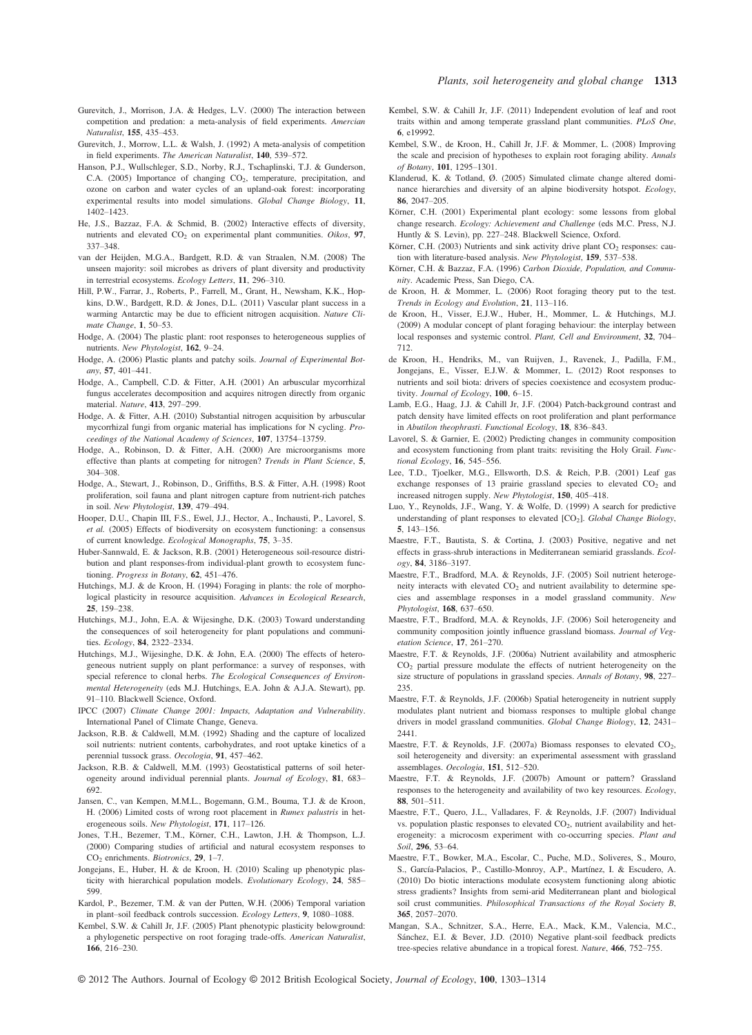- Gurevitch, J., Morrison, J.A. & Hedges, L.V. (2000) The interaction between competition and predation: a meta-analysis of field experiments. Amercian
- Naturalist, **155**, 435–453.<br>Gurevitch, J., Morrow, L.L. & Walsh, J. (1992) A meta-analysis of competition in field experiments. The American Naturalist, 140, 539–572.
- Hanson, P.J., Wullschleger, S.D., Norby, R.J., Tschaplinski, T.J. & Gunderson, C.A. (2005) Importance of changing CO<sub>2</sub>, temperature, precipitation, and ozone on carbon and water cycles of an upland-oak forest: incorporating experimental results into model simulations. Global Change Biology, 11, 1402–1423.
- He, J.S., Bazzaz, F.A. & Schmid, B. (2002) Interactive effects of diversity, nutrients and elevated  $CO<sub>2</sub>$  on experimental plant communities. Oikos, 97, 337–348.
- van der Heijden, M.G.A., Bardgett, R.D. & van Straalen, N.M. (2008) The unseen majority: soil microbes as drivers of plant diversity and productivity in terrestrial ecosystems. Ecology Letters, 11, 296–310.
- Hill, P.W., Farrar, J., Roberts, P., Farrell, M., Grant, H., Newsham, K.K., Hopkins, D.W., Bardgett, R.D. & Jones, D.L. (2011) Vascular plant success in a warming Antarctic may be due to efficient nitrogen acquisition. Nature Climate Change, 1, 50-53.
- Hodge, A. (2004) The plastic plant: root responses to heterogeneous supplies of nutrients. New Phytologist, 162, 9–24.
- Hodge, A. (2006) Plastic plants and patchy soils. Journal of Experimental Botany, 57, 401–441.
- Hodge, A., Campbell, C.D. & Fitter, A.H. (2001) An arbuscular mycorrhizal fungus accelerates decomposition and acquires nitrogen directly from organic material. Nature, 413, 297–299.
- Hodge, A. & Fitter, A.H. (2010) Substantial nitrogen acquisition by arbuscular mycorrhizal fungi from organic material has implications for N cycling. Proceedings of the National Academy of Sciences, 107, 13754–13759.
- Hodge, A., Robinson, D. & Fitter, A.H. (2000) Are microorganisms more effective than plants at competing for nitrogen? Trends in Plant Science, 5, 304–308.
- Hodge, A., Stewart, J., Robinson, D., Griffiths, B.S. & Fitter, A.H. (1998) Root proliferation, soil fauna and plant nitrogen capture from nutrient-rich patches in soil. New Phytologist, 139, 479–494.
- Hooper, D.U., Chapin III, F.S., Ewel, J.J., Hector, A., Inchausti, P., Lavorel, S. et al. (2005) Effects of biodiversity on ecosystem functioning: a consensus of current knowledge. Ecological Monographs, 75, 3–35.
- Huber-Sannwald, E. & Jackson, R.B. (2001) Heterogeneous soil-resource distribution and plant responses-from individual-plant growth to ecosystem functioning. Progress in Botany, 62, 451–476.
- Hutchings, M.J. & de Kroon, H. (1994) Foraging in plants: the role of morphological plasticity in resource acquisition. Advances in Ecological Research,
- 25, 159–238. Hutchings, M.J., John, E.A. & Wijesinghe, D.K. (2003) Toward understanding the consequences of soil heterogeneity for plant populations and communities. Ecology, 84, 2322–2334.
- Hutchings, M.J., Wijesinghe, D.K. & John, E.A. (2000) The effects of heterogeneous nutrient supply on plant performance: a survey of responses, with special reference to clonal herbs. The Ecological Consequences of Environmental Heterogeneity (eds M.J. Hutchings, E.A. John & A.J.A. Stewart), pp. 91–110. Blackwell Science, Oxford.
- IPCC (2007) Climate Change 2001: Impacts, Adaptation and Vulnerability. International Panel of Climate Change, Geneva.
- Jackson, R.B. & Caldwell, M.M. (1992) Shading and the capture of localized soil nutrients: nutrient contents, carbohydrates, and root uptake kinetics of a perennial tussock grass. Oecologia, 91, 457–462.
- Jackson, R.B. & Caldwell, M.M. (1993) Geostatistical patterns of soil heterogeneity around individual perennial plants. Journal of Ecology, 81, 683– 692.
- Jansen, C., van Kempen, M.M.L., Bogemann, G.M., Bouma, T.J. & de Kroon, H. (2006) Limited costs of wrong root placement in Rumex palustris in heterogeneous soils. New Phytologist, 171, 117–126.
- Jones, T.H., Bezemer, T.M., Körner, C.H., Lawton, J.H. & Thompson, L.J. (2000) Comparing studies of artificial and natural ecosystem responses to CO<sub>2</sub> enrichments. Biotronics, 29, 1-7.
- Jongejans, E., Huber, H. & de Kroon, H. (2010) Scaling up phenotypic plasticity with hierarchical population models. Evolutionary Ecology, 24, 585– 599.
- Kardol, P., Bezemer, T.M. & van der Putten, W.H. (2006) Temporal variation in plant–soil feedback controls succession. Ecology Letters, 9, 1080–1088.
- Kembel, S.W. & Cahill Jr, J.F. (2005) Plant phenotypic plasticity belowground: a phylogenetic perspective on root foraging trade-offs. American Naturalist, 166, 216–230.
- Kembel, S.W. & Cahill Jr, J.F. (2011) Independent evolution of leaf and root traits within and among temperate grassland plant communities. PLoS One,
- 6, e19992. Kembel, S.W., de Kroon, H., Cahill Jr, J.F. & Mommer, L. (2008) Improving the scale and precision of hypotheses to explain root foraging ability. Annals
- of Botany, 101, 1295–1301.<br>Klanderud, K. & Totland, Ø. (2005) Simulated climate change altered dominance hierarchies and diversity of an alpine biodiversity hotspot. Ecology, 86 2047-205
- 86, 2047–205. Körner, C.H. (2001) Experimental plant ecology: some lessons from global change research. Ecology: Achievement and Challenge (eds M.C. Press, N.J. Huntly & S. Levin), pp. 227–248. Blackwell Science, Oxford.
- Körner, C.H. (2003) Nutrients and sink activity drive plant  $CO<sub>2</sub>$  responses: caution with literature-based analysis. New Phytologist, 159, 537–538.
- Körner, C.H. & Bazzaz, F.A. (1996) Carbon Dioxide, Population, and Community. Academic Press, San Diego, CA.
- de Kroon, H. & Mommer, L. (2006) Root foraging theory put to the test.
- Trends in Ecology and Evolution, 21, 113–116. de Kroon, H., Visser, E.J.W., Huber, H., Mommer, L. & Hutchings, M.J. (2009) A modular concept of plant foraging behaviour: the interplay between local responses and systemic control. Plant, Cell and Environment, 32, 704– 712.
- de Kroon, H., Hendriks, M., van Ruijven, J., Ravenek, J., Padilla, F.M., Jongejans, E., Visser, E.J.W. & Mommer, L. (2012) Root responses to nutrients and soil biota: drivers of species coexistence and ecosystem productivity. Journal of Ecology, 100, 6–15.
- Lamb, E.G., Haag, J.J. & Cahill Jr, J.F. (2004) Patch-background contrast and patch density have limited effects on root proliferation and plant performance in Abutilon theophrasti. Functional Ecology, 18, 836–843.
- Lavorel, S. & Garnier, E. (2002) Predicting changes in community composition and ecosystem functioning from plant traits: revisiting the Holy Grail. Functional Ecology, 16, 545–556.
- Lee, T.D., Tjoelker, M.G., Ellsworth, D.S. & Reich, P.B. (2001) Leaf gas exchange responses of 13 prairie grassland species to elevated  $CO<sub>2</sub>$  and increased nitrogen supply. New Phytologist, 150, 405–418.
- Luo, Y., Reynolds, J.F., Wang, Y. & Wolfe, D. (1999) A search for predictive understanding of plant responses to elevated  $[CO_2]$ . Global Change Biology,
- 5, 143–156. Maestre, F.T., Bautista, S. & Cortina, J. (2003) Positive, negative and net effects in grass-shrub interactions in Mediterranean semiarid grasslands. Ecology, 84, 3186–3197.
- Maestre, F.T., Bradford, M.A. & Reynolds, J.F. (2005) Soil nutrient heterogeneity interacts with elevated  $CO<sub>2</sub>$  and nutrient availability to determine species and assemblage responses in a model grassland community. New Phytologist, 168, 637–650.
- Maestre, F.T., Bradford, M.A. & Reynolds, J.F. (2006) Soil heterogeneity and community composition jointly influence grassland biomass. Journal of Vegetation Science, 17, 261–270.
- Maestre, F.T. & Reynolds, J.F. (2006a) Nutrient availability and atmospheric CO2 partial pressure modulate the effects of nutrient heterogeneity on the size structure of populations in grassland species. Annals of Botany, 98, 227– 235.
- Maestre, F.T. & Reynolds, J.F. (2006b) Spatial heterogeneity in nutrient supply modulates plant nutrient and biomass responses to multiple global change drivers in model grassland communities. Global Change Biology, 12, 2431– 2441.
- Maestre, F.T. & Reynolds, J.F. (2007a) Biomass responses to elevated CO<sub>2</sub>, soil heterogeneity and diversity: an experimental assessment with grassland assemblages. Oecologia, 151, 512–520.
- Maestre, F.T. & Reynolds, J.F. (2007b) Amount or pattern? Grassland responses to the heterogeneity and availability of two key resources. Ecology, 88, 501–511.
- Maestre, F.T., Quero, J.L., Valladares, F. & Reynolds, J.F. (2007) Individual vs. population plastic responses to elevated CO<sub>2</sub>, nutrient availability and heterogeneity: a microcosm experiment with co-occurring species. Plant and Soil, 296, 53–64.
- Maestre, F.T., Bowker, M.A., Escolar, C., Puche, M.D., Soliveres, S., Mouro, S., García-Palacios, P., Castillo-Monroy, A.P., Martínez, I. & Escudero, A. (2010) Do biotic interactions modulate ecosystem functioning along abiotic stress gradients? Insights from semi-arid Mediterranean plant and biological soil crust communities. Philosophical Transactions of the Royal Society B, 365, 2057–2070.
- Mangan, S.A., Schnitzer, S.A., Herre, E.A., Mack, K.M., Valencia, M.C., Sánchez, E.I. & Bever, J.D. (2010) Negative plant-soil feedback predicts tree-species relative abundance in a tropical forest. Nature, 466, 752–755.